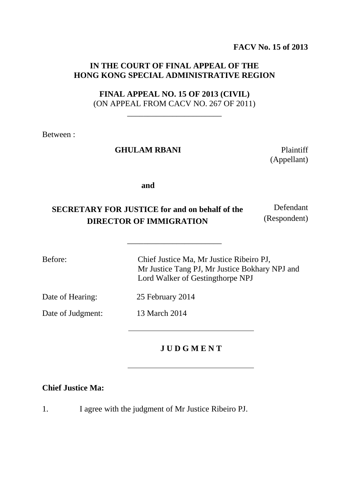**FACV No. 15 of 2013**

## **IN THE COURT OF FINAL APPEAL OF THE HONG KONG SPECIAL ADMINISTRATIVE REGION**

### **FINAL APPEAL NO. 15 OF 2013 (CIVIL)** (ON APPEAL FROM CACV NO. 267 OF 2011)

\_\_\_\_\_\_\_\_\_\_\_\_\_\_\_\_\_\_\_\_\_\_\_

Between :

#### GHULAM RBANI Plaintiff

(Appellant)

Defendant

**and**

#### **SECRETARY FOR JUSTICE for and on behalf of the DIRECTOR OF IMMIGRATION** (Respondent)

\_\_\_\_\_\_\_\_\_\_\_\_\_\_\_\_\_\_\_\_\_\_\_

Before: Chief Justice Ma, Mr Justice Ribeiro PJ, Mr Justice Tang PJ, Mr Justice Bokhary NPJ and Lord Walker of Gestingthorpe NPJ

Date of Hearing: 25 February 2014

Date of Judgment: 13 March 2014

## **J U D G M E N T**

### **Chief Justice Ma:**

1. I agree with the judgment of Mr Justice Ribeiro PJ.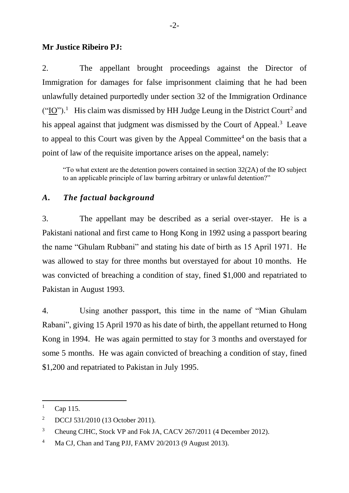### **Mr Justice Ribeiro PJ:**

2. The appellant brought proceedings against the Director of Immigration for damages for false imprisonment claiming that he had been unlawfully detained purportedly under section 32 of the Immigration Ordinance  $("IO")$ .<sup>1</sup> His claim was dismissed by HH Judge Leung in the District Court<sup>2</sup> and his appeal against that judgment was dismissed by the Court of Appeal.<sup>3</sup> Leave to appeal to this Court was given by the Appeal Committee<sup>4</sup> on the basis that a point of law of the requisite importance arises on the appeal, namely:

"To what extent are the detention powers contained in section 32(2A) of the IO subject to an applicable principle of law barring arbitrary or unlawful detention?"

## *A. The factual background*

3. The appellant may be described as a serial over-stayer. He is a Pakistani national and first came to Hong Kong in 1992 using a passport bearing the name "Ghulam Rubbani" and stating his date of birth as 15 April 1971. He was allowed to stay for three months but overstayed for about 10 months. He was convicted of breaching a condition of stay, fined \$1,000 and repatriated to Pakistan in August 1993.

4. Using another passport, this time in the name of "Mian Ghulam Rabani", giving 15 April 1970 as his date of birth, the appellant returned to Hong Kong in 1994. He was again permitted to stay for 3 months and overstayed for some 5 months. He was again convicted of breaching a condition of stay, fined \$1,200 and repatriated to Pakistan in July 1995.

 $1 \quad \text{Cap } 115.$ 

<sup>&</sup>lt;sup>2</sup> DCCJ 531/2010 (13 October 2011).

<sup>&</sup>lt;sup>3</sup> Cheung CJHC, Stock VP and Fok JA, CACV 267/2011 (4 December 2012).

<sup>&</sup>lt;sup>4</sup> Ma CJ, Chan and Tang PJJ, FAMV 20/2013 (9 August 2013).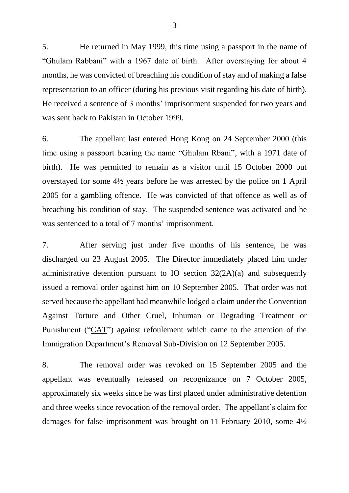5. He returned in May 1999, this time using a passport in the name of "Ghulam Rabbani" with a 1967 date of birth. After overstaying for about 4 months, he was convicted of breaching his condition of stay and of making a false representation to an officer (during his previous visit regarding his date of birth). He received a sentence of 3 months' imprisonment suspended for two years and was sent back to Pakistan in October 1999.

6. The appellant last entered Hong Kong on 24 September 2000 (this time using a passport bearing the name "Ghulam Rbani", with a 1971 date of birth). He was permitted to remain as a visitor until 15 October 2000 but overstayed for some 4½ years before he was arrested by the police on 1 April 2005 for a gambling offence. He was convicted of that offence as well as of breaching his condition of stay. The suspended sentence was activated and he was sentenced to a total of 7 months' imprisonment.

7. After serving just under five months of his sentence, he was discharged on 23 August 2005. The Director immediately placed him under administrative detention pursuant to IO section 32(2A)(a) and subsequently issued a removal order against him on 10 September 2005. That order was not served because the appellant had meanwhile lodged a claim under the Convention Against Torture and Other Cruel, Inhuman or Degrading Treatment or Punishment ("CAT") against refoulement which came to the attention of the Immigration Department's Removal Sub-Division on 12 September 2005.

8. The removal order was revoked on 15 September 2005 and the appellant was eventually released on recognizance on 7 October 2005, approximately six weeks since he was first placed under administrative detention and three weeks since revocation of the removal order. The appellant's claim for damages for false imprisonment was brought on 11 February 2010, some 4½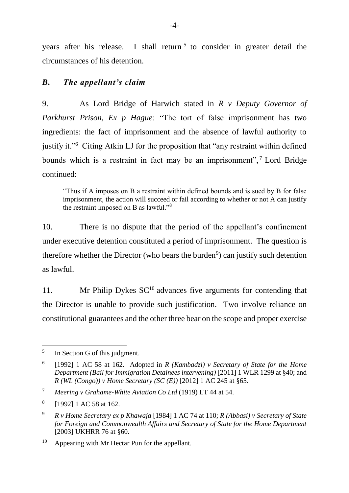years after his release. I shall return<sup>5</sup> to consider in greater detail the circumstances of his detention.

# *B. The appellant's claim*

9. As Lord Bridge of Harwich stated in *R v Deputy Governor of Parkhurst Prison, Ex p Hague*: "The tort of false imprisonment has two ingredients: the fact of imprisonment and the absence of lawful authority to justify it."<sup>6</sup> Citing Atkin LJ for the proposition that "any restraint within defined bounds which is a restraint in fact may be an imprisonment",<sup>7</sup> Lord Bridge continued:

"Thus if A imposes on B a restraint within defined bounds and is sued by B for false imprisonment, the action will succeed or fail according to whether or not A can justify the restraint imposed on B as lawful."<sup>8</sup>

10. There is no dispute that the period of the appellant's confinement under executive detention constituted a period of imprisonment. The question is therefore whether the Director (who bears the burden<sup>9</sup>) can justify such detention as lawful.

11. Mr Philip Dykes  $SC^{10}$  advances five arguments for contending that the Director is unable to provide such justification. Two involve reliance on constitutional guarantees and the other three bear on the scope and proper exercise

 $\overline{a}$ 5 In Section G of this judgment.

<sup>6</sup> [1992] 1 AC 58 at 162. Adopted in *R (Kambadzi) v Secretary of State for the Home Department (Bail for Immigration Detainees intervening)* [2011] 1 WLR 1299 at §40; and *R (WL (Congo)) v Home Secretary (SC (E))* [2012] 1 AC 245 at §65.

<sup>7</sup> *Meering v Grahame-White Aviation Co Ltd* (1919) LT 44 at 54.

<sup>8</sup> [1992] 1 AC 58 at 162.

<sup>9</sup> *R v Home Secretary ex p Khawaja* [1984] 1 AC 74 at 110; *R (Abbasi) v Secretary of State for Foreign and Commonwealth Affairs and Secretary of State for the Home Department*  [2003] UKHRR 76 at §60.

<sup>&</sup>lt;sup>10</sup> Appearing with Mr Hectar Pun for the appellant.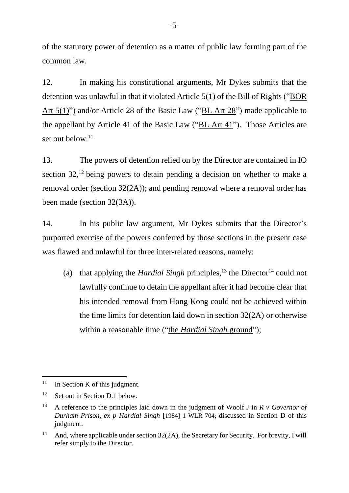of the statutory power of detention as a matter of public law forming part of the common law.

12. In making his constitutional arguments, Mr Dykes submits that the detention was unlawful in that it violated Article 5(1) of the Bill of Rights ("BOR Art 5(1)") and/or Article 28 of the Basic Law ("BL Art 28") made applicable to the appellant by Article 41 of the Basic Law ("BL Art 41"). Those Articles are set out below. $11$ 

13. The powers of detention relied on by the Director are contained in IO section 32,<sup>12</sup> being powers to detain pending a decision on whether to make a removal order (section 32(2A)); and pending removal where a removal order has been made (section 32(3A)).

14. In his public law argument, Mr Dykes submits that the Director's purported exercise of the powers conferred by those sections in the present case was flawed and unlawful for three inter-related reasons, namely:

(a) that applying the *Hardial Singh* principles,<sup>13</sup> the Director<sup>14</sup> could not lawfully continue to detain the appellant after it had become clear that his intended removal from Hong Kong could not be achieved within the time limits for detention laid down in section 32(2A) or otherwise within a reasonable time ("the *Hardial Singh* ground");

 $11$  In Section K of this judgment.

<sup>12</sup> Set out in Section D.1 below.

<sup>13</sup> A reference to the principles laid down in the judgment of Woolf J in *R v Governor of Durham Prison, ex p Hardial Singh* [1984] 1 WLR 704; discussed in Section D of this judgment.

<sup>&</sup>lt;sup>14</sup> And, where applicable under section  $32(2A)$ , the Secretary for Security. For brevity, I will refer simply to the Director.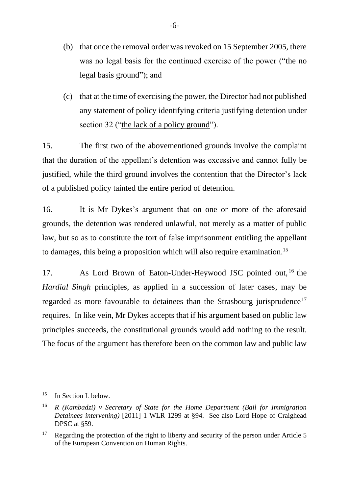- (b) that once the removal order was revoked on 15 September 2005, there was no legal basis for the continued exercise of the power ("the no legal basis ground"); and
- (c) that at the time of exercising the power, the Director had not published any statement of policy identifying criteria justifying detention under section 32 ("the lack of a policy ground").

15. The first two of the abovementioned grounds involve the complaint that the duration of the appellant's detention was excessive and cannot fully be justified, while the third ground involves the contention that the Director's lack of a published policy tainted the entire period of detention.

16. It is Mr Dykes's argument that on one or more of the aforesaid grounds, the detention was rendered unlawful, not merely as a matter of public law, but so as to constitute the tort of false imprisonment entitling the appellant to damages, this being a proposition which will also require examination. 15

17. As Lord Brown of Eaton-Under-Heywood JSC pointed out, <sup>16</sup> the *Hardial Singh* principles, as applied in a succession of later cases, may be regarded as more favourable to detainees than the Strasbourg jurisprudence<sup>17</sup> requires. In like vein, Mr Dykes accepts that if his argument based on public law principles succeeds, the constitutional grounds would add nothing to the result. The focus of the argument has therefore been on the common law and public law

<sup>-</sup><sup>15</sup> In Section L below.

<sup>16</sup> *R (Kambadzi) v Secretary of State for the Home Department (Bail for Immigration Detainees intervening)* [2011] 1 WLR 1299 at §94. See also Lord Hope of Craighead DPSC at §59.

<sup>&</sup>lt;sup>17</sup> Regarding the protection of the right to liberty and security of the person under Article 5 of the European Convention on Human Rights.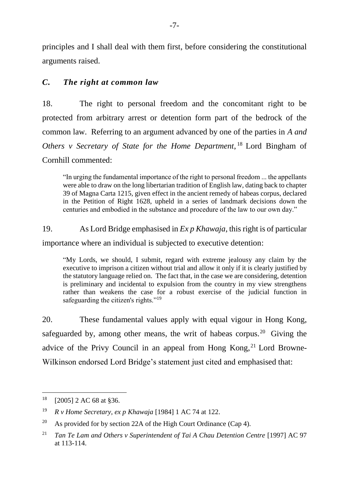principles and I shall deal with them first, before considering the constitutional arguments raised.

## *C. The right at common law*

18. The right to personal freedom and the concomitant right to be protected from arbitrary arrest or detention form part of the bedrock of the common law. Referring to an argument advanced by one of the parties in *A and Others v Secretary of State for the Home Department*, <sup>18</sup> Lord Bingham of Cornhill commented:

"In urging the fundamental importance of the right to personal freedom ... the appellants were able to draw on the long libertarian tradition of English law, dating back to chapter 39 of Magna Carta 1215, given effect in the ancient remedy of habeas corpus, declared in the Petition of Right 1628, upheld in a series of landmark decisions down the centuries and embodied in the substance and procedure of the law to our own day."

19. As Lord Bridge emphasised in *Ex p Khawaja*, this right is of particular

importance where an individual is subjected to executive detention:

"My Lords, we should, I submit, regard with extreme jealousy any claim by the executive to imprison a citizen without trial and allow it only if it is clearly justified by the statutory language relied on. The fact that, in the case we are considering, detention is preliminary and incidental to expulsion from the country in my view strengthens rather than weakens the case for a robust exercise of the judicial function in safeguarding the citizen's rights."<sup>19</sup>

20. These fundamental values apply with equal vigour in Hong Kong, safeguarded by, among other means, the writ of habeas corpus.<sup>20</sup> Giving the advice of the Privy Council in an appeal from Hong Kong,<sup>21</sup> Lord Browne-Wilkinson endorsed Lord Bridge's statement just cited and emphasised that:

<sup>-</sup> $18$  [2005] 2 AC 68 at §36.

<sup>19</sup> *R v Home Secretary, ex p Khawaja* [1984] 1 AC 74 at 122.

<sup>&</sup>lt;sup>20</sup> As provided for by section 22A of the High Court Ordinance (Cap 4).

<sup>21</sup> *Tan Te Lam and Others v Superintendent of Tai A Chau Detention Centre* [1997] AC 97 at 113-114.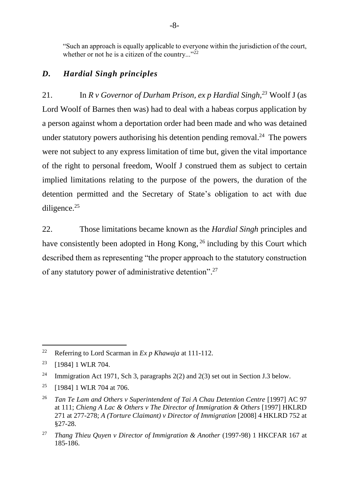"Such an approach is equally applicable to everyone within the jurisdiction of the court, whether or not he is a citizen of the country..." $^{22}$ 

## *D. Hardial Singh principles*

21. In *R v Governor of Durham Prison, ex p Hardial Singh,<sup>23</sup>* Woolf J (as Lord Woolf of Barnes then was) had to deal with a habeas corpus application by a person against whom a deportation order had been made and who was detained under statutory powers authorising his detention pending removal.<sup>24</sup> The powers were not subject to any express limitation of time but, given the vital importance of the right to personal freedom, Woolf J construed them as subject to certain implied limitations relating to the purpose of the powers, the duration of the detention permitted and the Secretary of State's obligation to act with due diligence. $25$ 

22. Those limitations became known as the *Hardial Singh* principles and have consistently been adopted in Hong Kong, <sup>26</sup> including by this Court which described them as representing "the proper approach to the statutory construction of any statutory power of administrative detention". 27

 $\overline{a}$ <sup>22</sup> Referring to Lord Scarman in *Ex p Khawaja* at 111-112.

<sup>&</sup>lt;sup>23</sup> [1984] 1 WLR 704.

<sup>&</sup>lt;sup>24</sup> Immigration Act 1971, Sch 3, paragraphs  $2(2)$  and  $2(3)$  set out in Section J.3 below.

 $25$  [1984] 1 WLR 704 at 706.

<sup>&</sup>lt;sup>26</sup> *Tan Te Lam and Others v Superintendent of Tai A Chau Detention Centre* [1997] AC 97 at 111; *Chieng A Lac & Others v The Director of Immigration & Others* [1997] HKLRD 271 at 277-278; *A (Torture Claimant) v Director of Immigration* [2008] 4 HKLRD 752 at §27-28.

<sup>27</sup> *Thang Thieu Quyen v Director of Immigration & Another* (1997-98) 1 HKCFAR 167 at 185-186.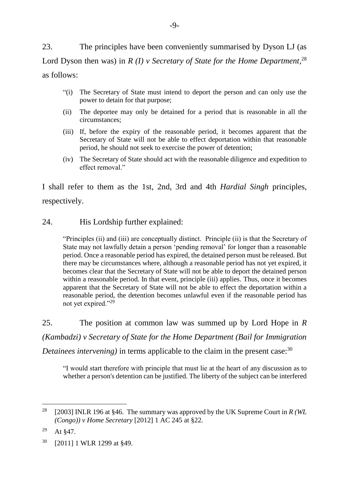23. The principles have been conveniently summarised by Dyson LJ (as Lord Dyson then was) in *R* (*I*) *v* Secretary of State for the Home Department,<sup>28</sup> as follows:

- "(i) The Secretary of State must intend to deport the person and can only use the power to detain for that purpose;
- (ii) The deportee may only be detained for a period that is reasonable in all the circumstances;
- (iii) If, before the expiry of the reasonable period, it becomes apparent that the Secretary of State will not be able to effect deportation within that reasonable period, he should not seek to exercise the power of detention;
- (iv) The Secretary of State should act with the reasonable diligence and expedition to effect removal."

I shall refer to them as the 1st, 2nd, 3rd and 4th *Hardial Singh* principles, respectively.

### 24. His Lordship further explained:

"Principles (ii) and (iii) are conceptually distinct. Principle (ii) is that the Secretary of State may not lawfully detain a person 'pending removal' for longer than a reasonable period. Once a reasonable period has expired, the detained person must be released. But there may be circumstances where, although a reasonable period has not yet expired, it becomes clear that the Secretary of State will not be able to deport the detained person within a reasonable period. In that event, principle (iii) applies. Thus, once it becomes apparent that the Secretary of State will not be able to effect the deportation within a reasonable period, the detention becomes unlawful even if the reasonable period has not yet expired."<sup>29</sup>

25. The position at common law was summed up by Lord Hope in *R (Kambadzi) v Secretary of State for the Home Department (Bail for Immigration Detainees intervening)* in terms applicable to the claim in the present case:<sup>30</sup>

"I would start therefore with principle that must lie at the heart of any discussion as to whether a person's detention can be justified. The liberty of the subject can be interfered

<sup>&</sup>lt;sup>28</sup> [2003] INLR 196 at §46. The summary was approved by the UK Supreme Court in *R (WL (Congo)) v Home Secretary* [2012] 1 AC 245 at §22.

 $29$  At §47.

<sup>30</sup> [2011] 1 WLR 1299 at §49.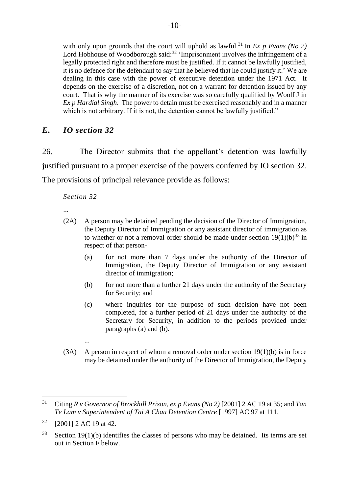with only upon grounds that the court will uphold as lawful.<sup>31</sup> In *Ex p Evans (No 2)* Lord Hobhouse of Woodborough said: $32$  'Imprisonment involves the infringement of a legally protected right and therefore must be justified. If it cannot be lawfully justified, it is no defence for the defendant to say that he believed that he could justify it.' We are dealing in this case with the power of executive detention under the 1971 Act. It depends on the exercise of a discretion, not on a warrant for detention issued by any court. That is why the manner of its exercise was so carefully qualified by Woolf J in *Ex p Hardial Singh*. The power to detain must be exercised reasonably and in a manner which is not arbitrary. If it is not, the detention cannot be lawfully justified."

## *E. IO section 32*

26. The Director submits that the appellant's detention was lawfully justified pursuant to a proper exercise of the powers conferred by IO section 32. The provisions of principal relevance provide as follows:

*Section 32*

- ...
- (2A) A person may be detained pending the decision of the Director of Immigration, the Deputy Director of Immigration or any assistant director of immigration as to whether or not a removal order should be made under section  $19(1)(b)^{33}$  in respect of that person-
	- (a) for not more than 7 days under the authority of the Director of Immigration, the Deputy Director of Immigration or any assistant director of immigration;
	- (b) for not more than a further 21 days under the authority of the Secretary for Security; and
	- (c) where inquiries for the purpose of such decision have not been completed, for a further period of 21 days under the authority of the Secretary for Security, in addition to the periods provided under paragraphs (a) and (b).
	- ...
- (3A) A person in respect of whom a removal order under section 19(1)(b) is in force may be detained under the authority of the Director of Immigration, the Deputy

<sup>-</sup><sup>31</sup> Citing *R v Governor of Brockhill Prison, ex p Evans (No 2)* [2001] 2 AC 19 at 35; and *Tan Te Lam v Superintendent of Tai A Chau Detention Centre* [1997] AC 97 at 111.

 $32$  [2001] 2 AC 19 at 42.

 $33$  Section 19(1)(b) identifies the classes of persons who may be detained. Its terms are set out in Section F below.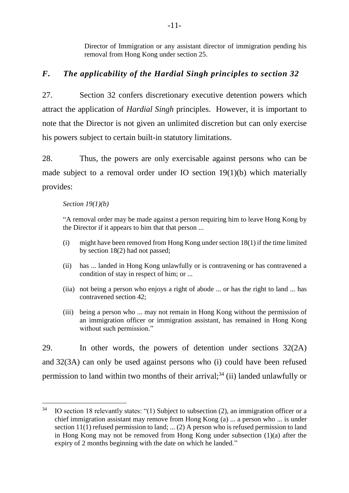Director of Immigration or any assistant director of immigration pending his removal from Hong Kong under section 25.

## *F. The applicability of the Hardial Singh principles to section 32*

27. Section 32 confers discretionary executive detention powers which attract the application of *Hardial Singh* principles. However, it is important to note that the Director is not given an unlimited discretion but can only exercise his powers subject to certain built-in statutory limitations.

28. Thus, the powers are only exercisable against persons who can be made subject to a removal order under IO section 19(1)(b) which materially provides:

#### *Section 19(1)(b)*

-

"A removal order may be made against a person requiring him to leave Hong Kong by the Director if it appears to him that that person ...

- (i) might have been removed from Hong Kong under section 18(1) if the time limited by section 18(2) had not passed;
- (ii) has ... landed in Hong Kong unlawfully or is contravening or has contravened a condition of stay in respect of him; or ...
- (iia) not being a person who enjoys a right of abode ... or has the right to land ... has contravened section 42;
- (iii) being a person who ... may not remain in Hong Kong without the permission of an immigration officer or immigration assistant, has remained in Hong Kong without such permission."

29. In other words, the powers of detention under sections 32(2A) and 32(3A) can only be used against persons who (i) could have been refused permission to land within two months of their arrival;<sup>34</sup> (ii) landed unlawfully or

 $34$  IO section 18 relevantly states: "(1) Subject to subsection (2), an immigration officer or a chief immigration assistant may remove from Hong Kong (a) ... a person who ... is under section 11(1) refused permission to land; ... (2) A person who is refused permission to land in Hong Kong may not be removed from Hong Kong under subsection (1)(a) after the expiry of 2 months beginning with the date on which he landed."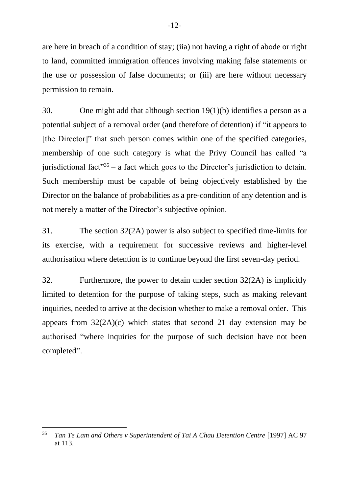are here in breach of a condition of stay; (iia) not having a right of abode or right to land, committed immigration offences involving making false statements or the use or possession of false documents; or (iii) are here without necessary permission to remain.

30. One might add that although section 19(1)(b) identifies a person as a potential subject of a removal order (and therefore of detention) if "it appears to [the Director]" that such person comes within one of the specified categories, membership of one such category is what the Privy Council has called "a jurisdictional fact<sup> $35$ </sup> – a fact which goes to the Director's jurisdiction to detain. Such membership must be capable of being objectively established by the Director on the balance of probabilities as a pre-condition of any detention and is not merely a matter of the Director's subjective opinion.

31. The section 32(2A) power is also subject to specified time-limits for its exercise, with a requirement for successive reviews and higher-level authorisation where detention is to continue beyond the first seven-day period.

32. Furthermore, the power to detain under section 32(2A) is implicitly limited to detention for the purpose of taking steps, such as making relevant inquiries, needed to arrive at the decision whether to make a removal order. This appears from  $32(2A)(c)$  which states that second 21 day extension may be authorised "where inquiries for the purpose of such decision have not been completed".

<sup>&</sup>lt;sup>35</sup> *Tan Te Lam and Others v Superintendent of Tai A Chau Detention Centre* [1997] AC 97 at 113.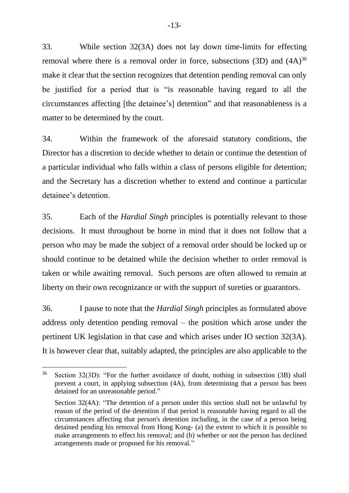33. While section 32(3A) does not lay down time-limits for effecting removal where there is a removal order in force, subsections  $(3D)$  and  $(4A)^{36}$ make it clear that the section recognizes that detention pending removal can only be justified for a period that is "is reasonable having regard to all the circumstances affecting [the detainee's] detention" and that reasonableness is a matter to be determined by the court.

34. Within the framework of the aforesaid statutory conditions, the Director has a discretion to decide whether to detain or continue the detention of a particular individual who falls within a class of persons eligible for detention; and the Secretary has a discretion whether to extend and continue a particular detainee's detention.

35. Each of the *Hardial Singh* principles is potentially relevant to those decisions. It must throughout be borne in mind that it does not follow that a person who may be made the subject of a removal order should be locked up or should continue to be detained while the decision whether to order removal is taken or while awaiting removal. Such persons are often allowed to remain at liberty on their own recognizance or with the support of sureties or guarantors.

36. I pause to note that the *Hardial Singh* principles as formulated above address only detention pending removal – the position which arose under the pertinent UK legislation in that case and which arises under IO section 32(3A). It is however clear that, suitably adapted, the principles are also applicable to the

<sup>36</sup> Section 32(3D): "For the further avoidance of doubt, nothing in subsection (3B) shall prevent a court, in applying subsection (4A), from determining that a person has been detained for an unreasonable period."

Section 32(4A): "The detention of a person under this section shall not be unlawful by reason of the period of the detention if that period is reasonable having regard to all the circumstances affecting that person's detention including, in the case of a person being detained pending his removal from Hong Kong- (a) the extent to which it is possible to make arrangements to effect his removal; and (b) whether or not the person has declined arrangements made or proposed for his removal."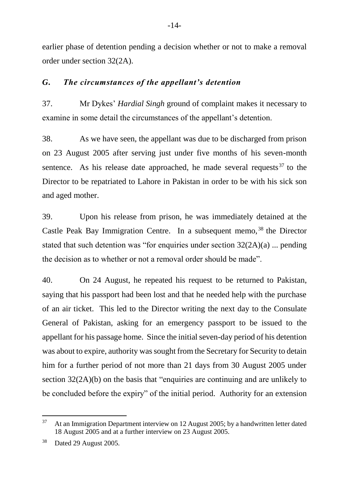earlier phase of detention pending a decision whether or not to make a removal order under section 32(2A).

### *G. The circumstances of the appellant's detention*

37. Mr Dykes' *Hardial Singh* ground of complaint makes it necessary to examine in some detail the circumstances of the appellant's detention.

38. As we have seen, the appellant was due to be discharged from prison on 23 August 2005 after serving just under five months of his seven-month sentence. As his release date approached, he made several requests  $37$  to the Director to be repatriated to Lahore in Pakistan in order to be with his sick son and aged mother.

39. Upon his release from prison, he was immediately detained at the Castle Peak Bay Immigration Centre. In a subsequent memo, <sup>38</sup> the Director stated that such detention was "for enquiries under section 32(2A)(a) ... pending the decision as to whether or not a removal order should be made".

40. On 24 August, he repeated his request to be returned to Pakistan, saying that his passport had been lost and that he needed help with the purchase of an air ticket. This led to the Director writing the next day to the Consulate General of Pakistan, asking for an emergency passport to be issued to the appellant for his passage home. Since the initial seven-day period of his detention was about to expire, authority was sought from the Secretary for Security to detain him for a further period of not more than 21 days from 30 August 2005 under section 32(2A)(b) on the basis that "enquiries are continuing and are unlikely to be concluded before the expiry" of the initial period. Authority for an extension

<sup>&</sup>lt;sup>37</sup> At an Immigration Department interview on 12 August 2005; by a handwritten letter dated 18 August 2005 and at a further interview on 23 August 2005.

<sup>38</sup> Dated 29 August 2005.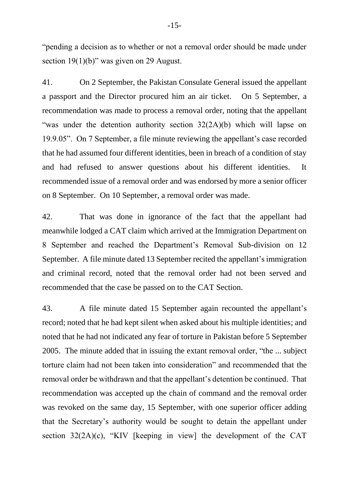"pending a decision as to whether or not a removal order should be made under section 19(1)(b)" was given on 29 August.

41. On 2 September, the Pakistan Consulate General issued the appellant a passport and the Director procured him an air ticket. On 5 September, a recommendation was made to process a removal order, noting that the appellant "was under the detention authority section 32(2A)(b) which will lapse on 19.9.05". On 7 September, a file minute reviewing the appellant's case recorded that he had assumed four different identities, been in breach of a condition of stay and had refused to answer questions about his different identities. It recommended issue of a removal order and was endorsed by more a senior officer on 8 September. On 10 September, a removal order was made.

42. That was done in ignorance of the fact that the appellant had meanwhile lodged a CAT claim which arrived at the Immigration Department on 8 September and reached the Department's Removal Sub-division on 12 September. A file minute dated 13 September recited the appellant's immigration and criminal record, noted that the removal order had not been served and recommended that the case be passed on to the CAT Section.

43. A file minute dated 15 September again recounted the appellant's record; noted that he had kept silent when asked about his multiple identities; and noted that he had not indicated any fear of torture in Pakistan before 5 September 2005. The minute added that in issuing the extant removal order, "the ... subject torture claim had not been taken into consideration" and recommended that the removal order be withdrawn and that the appellant's detention be continued. That recommendation was accepted up the chain of command and the removal order was revoked on the same day, 15 September, with one superior officer adding that the Secretary's authority would be sought to detain the appellant under section 32(2A)(c), "KIV [keeping in view] the development of the CAT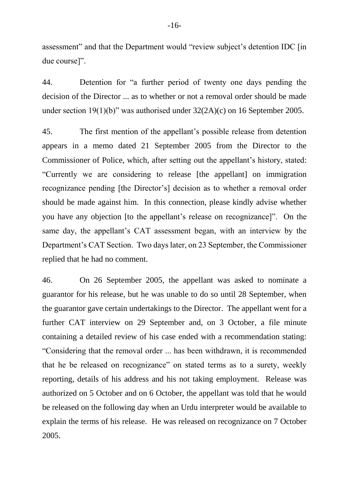assessment" and that the Department would "review subject's detention IDC [in due course]".

44. Detention for "a further period of twenty one days pending the decision of the Director ... as to whether or not a removal order should be made under section 19(1)(b)" was authorised under 32(2A)(c) on 16 September 2005.

45. The first mention of the appellant's possible release from detention appears in a memo dated 21 September 2005 from the Director to the Commissioner of Police, which, after setting out the appellant's history, stated: "Currently we are considering to release [the appellant] on immigration recognizance pending [the Director's] decision as to whether a removal order should be made against him. In this connection, please kindly advise whether you have any objection [to the appellant's release on recognizance]". On the same day, the appellant's CAT assessment began, with an interview by the Department's CAT Section. Two days later, on 23 September, the Commissioner replied that he had no comment.

46. On 26 September 2005, the appellant was asked to nominate a guarantor for his release, but he was unable to do so until 28 September, when the guarantor gave certain undertakings to the Director. The appellant went for a further CAT interview on 29 September and, on 3 October, a file minute containing a detailed review of his case ended with a recommendation stating: "Considering that the removal order ... has been withdrawn, it is recommended that he be released on recognizance" on stated terms as to a surety, weekly reporting, details of his address and his not taking employment. Release was authorized on 5 October and on 6 October, the appellant was told that he would be released on the following day when an Urdu interpreter would be available to explain the terms of his release. He was released on recognizance on 7 October 2005.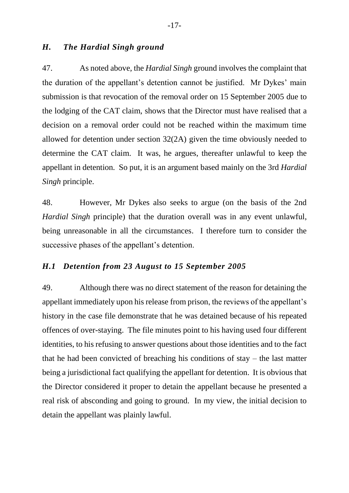### *H. The Hardial Singh ground*

47. As noted above, the *Hardial Singh* ground involves the complaint that the duration of the appellant's detention cannot be justified. Mr Dykes' main submission is that revocation of the removal order on 15 September 2005 due to the lodging of the CAT claim, shows that the Director must have realised that a decision on a removal order could not be reached within the maximum time allowed for detention under section 32(2A) given the time obviously needed to determine the CAT claim. It was, he argues, thereafter unlawful to keep the appellant in detention. So put, it is an argument based mainly on the 3rd *Hardial Singh* principle.

48. However, Mr Dykes also seeks to argue (on the basis of the 2nd *Hardial Singh* principle) that the duration overall was in any event unlawful, being unreasonable in all the circumstances. I therefore turn to consider the successive phases of the appellant's detention.

#### *H.1 Detention from 23 August to 15 September 2005*

49. Although there was no direct statement of the reason for detaining the appellant immediately upon his release from prison, the reviews of the appellant's history in the case file demonstrate that he was detained because of his repeated offences of over-staying. The file minutes point to his having used four different identities, to his refusing to answer questions about those identities and to the fact that he had been convicted of breaching his conditions of stay – the last matter being a jurisdictional fact qualifying the appellant for detention. It is obvious that the Director considered it proper to detain the appellant because he presented a real risk of absconding and going to ground. In my view, the initial decision to detain the appellant was plainly lawful.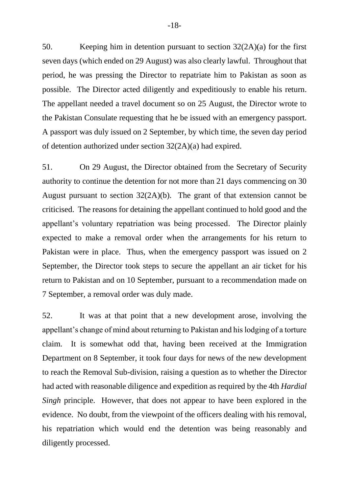50. Keeping him in detention pursuant to section 32(2A)(a) for the first seven days (which ended on 29 August) was also clearly lawful. Throughout that period, he was pressing the Director to repatriate him to Pakistan as soon as possible. The Director acted diligently and expeditiously to enable his return. The appellant needed a travel document so on 25 August, the Director wrote to the Pakistan Consulate requesting that he be issued with an emergency passport. A passport was duly issued on 2 September, by which time, the seven day period of detention authorized under section 32(2A)(a) had expired.

51. On 29 August, the Director obtained from the Secretary of Security authority to continue the detention for not more than 21 days commencing on 30 August pursuant to section 32(2A)(b). The grant of that extension cannot be criticised. The reasons for detaining the appellant continued to hold good and the appellant's voluntary repatriation was being processed. The Director plainly expected to make a removal order when the arrangements for his return to Pakistan were in place. Thus, when the emergency passport was issued on 2 September, the Director took steps to secure the appellant an air ticket for his return to Pakistan and on 10 September, pursuant to a recommendation made on 7 September, a removal order was duly made.

52. It was at that point that a new development arose, involving the appellant's change of mind about returning to Pakistan and his lodging of a torture claim. It is somewhat odd that, having been received at the Immigration Department on 8 September, it took four days for news of the new development to reach the Removal Sub-division, raising a question as to whether the Director had acted with reasonable diligence and expedition as required by the 4th *Hardial Singh* principle. However, that does not appear to have been explored in the evidence. No doubt, from the viewpoint of the officers dealing with his removal, his repatriation which would end the detention was being reasonably and diligently processed.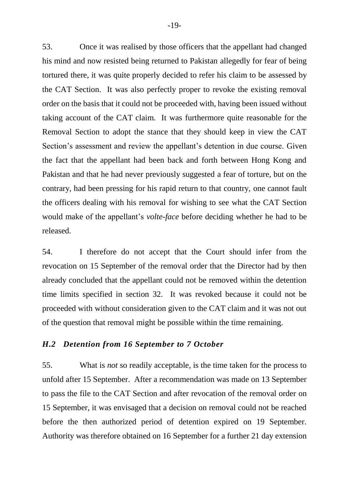53. Once it was realised by those officers that the appellant had changed his mind and now resisted being returned to Pakistan allegedly for fear of being tortured there, it was quite properly decided to refer his claim to be assessed by the CAT Section. It was also perfectly proper to revoke the existing removal order on the basis that it could not be proceeded with, having been issued without taking account of the CAT claim. It was furthermore quite reasonable for the Removal Section to adopt the stance that they should keep in view the CAT Section's assessment and review the appellant's detention in due course. Given the fact that the appellant had been back and forth between Hong Kong and Pakistan and that he had never previously suggested a fear of torture, but on the contrary, had been pressing for his rapid return to that country, one cannot fault the officers dealing with his removal for wishing to see what the CAT Section would make of the appellant's *volte-face* before deciding whether he had to be released.

54. I therefore do not accept that the Court should infer from the revocation on 15 September of the removal order that the Director had by then already concluded that the appellant could not be removed within the detention time limits specified in section 32. It was revoked because it could not be proceeded with without consideration given to the CAT claim and it was not out of the question that removal might be possible within the time remaining.

#### *H.2 Detention from 16 September to 7 October*

55. What is *not* so readily acceptable, is the time taken for the process to unfold after 15 September. After a recommendation was made on 13 September to pass the file to the CAT Section and after revocation of the removal order on 15 September, it was envisaged that a decision on removal could not be reached before the then authorized period of detention expired on 19 September. Authority was therefore obtained on 16 September for a further 21 day extension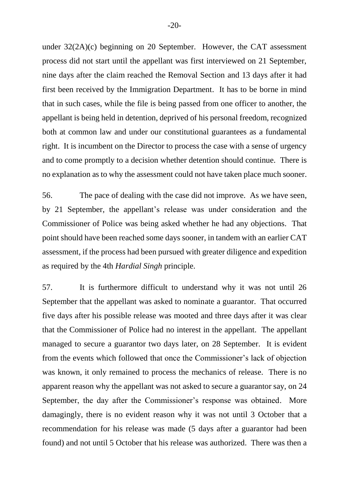under 32(2A)(c) beginning on 20 September. However, the CAT assessment process did not start until the appellant was first interviewed on 21 September, nine days after the claim reached the Removal Section and 13 days after it had first been received by the Immigration Department. It has to be borne in mind that in such cases, while the file is being passed from one officer to another, the appellant is being held in detention, deprived of his personal freedom, recognized both at common law and under our constitutional guarantees as a fundamental right. It is incumbent on the Director to process the case with a sense of urgency and to come promptly to a decision whether detention should continue. There is no explanation as to why the assessment could not have taken place much sooner.

56. The pace of dealing with the case did not improve. As we have seen, by 21 September, the appellant's release was under consideration and the Commissioner of Police was being asked whether he had any objections. That point should have been reached some days sooner, in tandem with an earlier CAT assessment, if the process had been pursued with greater diligence and expedition as required by the 4th *Hardial Singh* principle.

57. It is furthermore difficult to understand why it was not until 26 September that the appellant was asked to nominate a guarantor. That occurred five days after his possible release was mooted and three days after it was clear that the Commissioner of Police had no interest in the appellant. The appellant managed to secure a guarantor two days later, on 28 September. It is evident from the events which followed that once the Commissioner's lack of objection was known, it only remained to process the mechanics of release. There is no apparent reason why the appellant was not asked to secure a guarantor say, on 24 September, the day after the Commissioner's response was obtained. More damagingly, there is no evident reason why it was not until 3 October that a recommendation for his release was made (5 days after a guarantor had been found) and not until 5 October that his release was authorized. There was then a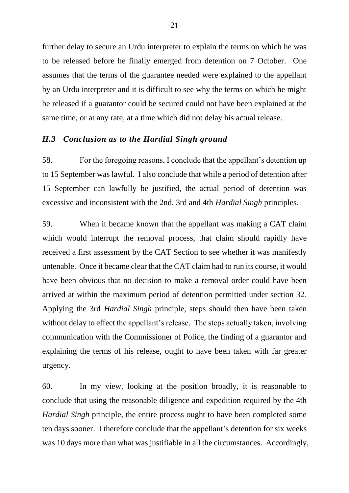further delay to secure an Urdu interpreter to explain the terms on which he was to be released before he finally emerged from detention on 7 October. One assumes that the terms of the guarantee needed were explained to the appellant by an Urdu interpreter and it is difficult to see why the terms on which he might be released if a guarantor could be secured could not have been explained at the same time, or at any rate, at a time which did not delay his actual release.

#### *H.3 Conclusion as to the Hardial Singh ground*

58. For the foregoing reasons, I conclude that the appellant's detention up to 15 September was lawful. I also conclude that while a period of detention after 15 September can lawfully be justified, the actual period of detention was excessive and inconsistent with the 2nd, 3rd and 4th *Hardial Singh* principles.

59. When it became known that the appellant was making a CAT claim which would interrupt the removal process, that claim should rapidly have received a first assessment by the CAT Section to see whether it was manifestly untenable. Once it became clear that the CAT claim had to run its course, it would have been obvious that no decision to make a removal order could have been arrived at within the maximum period of detention permitted under section 32. Applying the 3rd *Hardial Singh* principle, steps should then have been taken without delay to effect the appellant's release. The steps actually taken, involving communication with the Commissioner of Police, the finding of a guarantor and explaining the terms of his release, ought to have been taken with far greater urgency.

60. In my view, looking at the position broadly, it is reasonable to conclude that using the reasonable diligence and expedition required by the 4th *Hardial Singh* principle, the entire process ought to have been completed some ten days sooner. I therefore conclude that the appellant's detention for six weeks was 10 days more than what was justifiable in all the circumstances. Accordingly,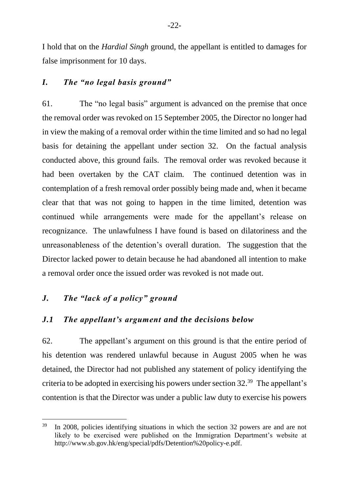I hold that on the *Hardial Singh* ground, the appellant is entitled to damages for false imprisonment for 10 days.

## *I. The "no legal basis ground"*

61. The "no legal basis" argument is advanced on the premise that once the removal order was revoked on 15 September 2005, the Director no longer had in view the making of a removal order within the time limited and so had no legal basis for detaining the appellant under section 32. On the factual analysis conducted above, this ground fails. The removal order was revoked because it had been overtaken by the CAT claim. The continued detention was in contemplation of a fresh removal order possibly being made and, when it became clear that that was not going to happen in the time limited, detention was continued while arrangements were made for the appellant's release on recognizance. The unlawfulness I have found is based on dilatoriness and the unreasonableness of the detention's overall duration. The suggestion that the Director lacked power to detain because he had abandoned all intention to make a removal order once the issued order was revoked is not made out.

### *J. The "lack of a policy" ground*

 $\overline{a}$ 

#### *J.1 The appellant's argument and the decisions below*

62. The appellant's argument on this ground is that the entire period of his detention was rendered unlawful because in August 2005 when he was detained, the Director had not published any statement of policy identifying the criteria to be adopted in exercising his powers under section 32. 39 The appellant's contention is that the Director was under a public law duty to exercise his powers

 $39$  In 2008, policies identifying situations in which the section 32 powers are and are not likely to be exercised were published on the Immigration Department's website at http://www.sb.gov.hk/eng/special/pdfs/Detention%20policy-e.pdf.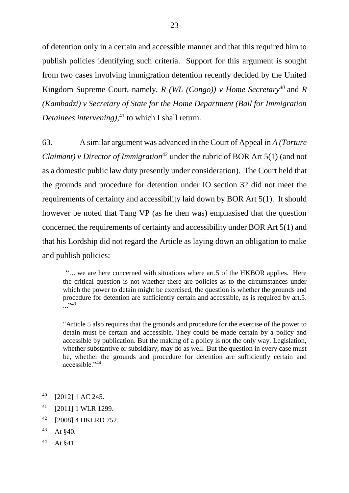of detention only in a certain and accessible manner and that this required him to publish policies identifying such criteria. Support for this argument is sought from two cases involving immigration detention recently decided by the United Kingdom Supreme Court, namely, *R (WL (Congo)) v Home Secretary<sup>40</sup>* and *R (Kambadzi) v Secretary of State for the Home Department (Bail for Immigration Detainees intervening)*, <sup>41</sup> to which I shall return.

63. A similar argument was advanced in the Court of Appeal in *A (Torture Claimant) v Director of Immigration*<sup>42</sup> under the rubric of BOR Art 5(1) (and not as a domestic public law duty presently under consideration). The Court held that the grounds and procedure for detention under IO section 32 did not meet the requirements of certainty and accessibility laid down by BOR Art 5(1). It should however be noted that Tang VP (as he then was) emphasised that the question concerned the requirements of certainty and accessibility under BOR Art 5(1) and that his Lordship did not regard the Article as laying down an obligation to make and publish policies:

"... we are here concerned with situations where art.5 of the HKBOR applies. Here the critical question is not whether there are policies as to the circumstances under which the power to detain might be exercised, the question is whether the grounds and procedure for detention are sufficiently certain and accessible, as is required by art.5. ...<sup>3</sup>

"Article 5 also requires that the grounds and procedure for the exercise of the power to detain must be certain and accessible. They could be made certain by a policy and accessible by publication. But the making of a policy is not the only way. Legislation, whether substantive or subsidiary, may do as well. But the question in every case must be, whether the grounds and procedure for detention are sufficiently certain and accessible."<sup>44</sup>

<sup>44</sup> At §41.

<sup>40</sup> [2012] 1 AC 245.

<sup>41</sup> [2011] 1 WLR 1299.

<sup>42</sup> [2008] 4 HKLRD 752.

 $43$  At §40.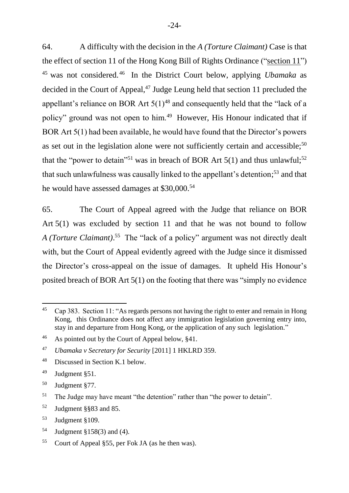64. A difficulty with the decision in the *A (Torture Claimant)* Case is that the effect of section 11 of the Hong Kong Bill of Rights Ordinance ("section 11") <sup>45</sup> was not considered. <sup>46</sup> In the District Court below, applying *Ubamaka* as decided in the Court of Appeal, $47$  Judge Leung held that section 11 precluded the appellant's reliance on BOR Art  $5(1)^{48}$  and consequently held that the "lack of a policy" ground was not open to him.<sup>49</sup> However, His Honour indicated that if BOR Art 5(1) had been available, he would have found that the Director's powers as set out in the legislation alone were not sufficiently certain and accessible;<sup>50</sup> that the "power to detain"<sup>51</sup> was in breach of BOR Art  $5(1)$  and thus unlawful;<sup>52</sup> that such unlawfulness was causally linked to the appellant's detention; <sup>53</sup> and that he would have assessed damages at \$30,000.<sup>54</sup>

65. The Court of Appeal agreed with the Judge that reliance on BOR Art 5(1) was excluded by section 11 and that he was not bound to follow *A (Torture Claimant)*. <sup>55</sup> The "lack of a policy" argument was not directly dealt with, but the Court of Appeal evidently agreed with the Judge since it dismissed the Director's cross-appeal on the issue of damages. It upheld His Honour's posited breach of BOR Art 5(1) on the footing that there was "simply no evidence

-

<sup>52</sup> Judgment §§83 and 85.

<sup>54</sup> Judgment §158(3) and (4).

<sup>&</sup>lt;sup>45</sup> Cap 383. Section 11: "As regards persons not having the right to enter and remain in Hong Kong, this Ordinance does not affect any immigration legislation governing entry into, stay in and departure from Hong Kong, or the application of any such legislation."

<sup>46</sup> As pointed out by the Court of Appeal below, §41.

<sup>47</sup> *Ubamaka v Secretary for Security* [2011] 1 HKLRD 359.

<sup>48</sup> Discussed in Section K.1 below.

<sup>49</sup> Judgment §51.

<sup>50</sup> Judgment §77.

<sup>&</sup>lt;sup>51</sup> The Judge may have meant "the detention" rather than "the power to detain".

<sup>53</sup> Judgment §109.

<sup>55</sup> Court of Appeal §55, per Fok JA (as he then was).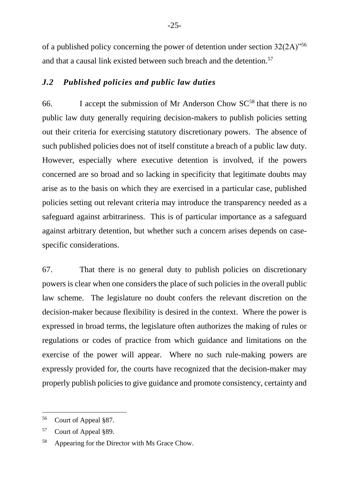of a published policy concerning the power of detention under section 32(2A)"<sup>56</sup> and that a causal link existed between such breach and the detention.<sup>57</sup>

## *J.2 Published policies and public law duties*

66. I accept the submission of Mr Anderson Chow  $SC^{58}$  that there is no public law duty generally requiring decision-makers to publish policies setting out their criteria for exercising statutory discretionary powers. The absence of such published policies does not of itself constitute a breach of a public law duty. However, especially where executive detention is involved, if the powers concerned are so broad and so lacking in specificity that legitimate doubts may arise as to the basis on which they are exercised in a particular case, published policies setting out relevant criteria may introduce the transparency needed as a safeguard against arbitrariness. This is of particular importance as a safeguard against arbitrary detention, but whether such a concern arises depends on casespecific considerations.

67. That there is no general duty to publish policies on discretionary powers is clear when one considers the place of such policies in the overall public law scheme. The legislature no doubt confers the relevant discretion on the decision-maker because flexibility is desired in the context. Where the power is expressed in broad terms, the legislature often authorizes the making of rules or regulations or codes of practice from which guidance and limitations on the exercise of the power will appear. Where no such rule-making powers are expressly provided for, the courts have recognized that the decision-maker may properly publish policies to give guidance and promote consistency, certainty and

<sup>56</sup> Court of Appeal §87.

<sup>57</sup> Court of Appeal §89.

<sup>58</sup> Appearing for the Director with Ms Grace Chow.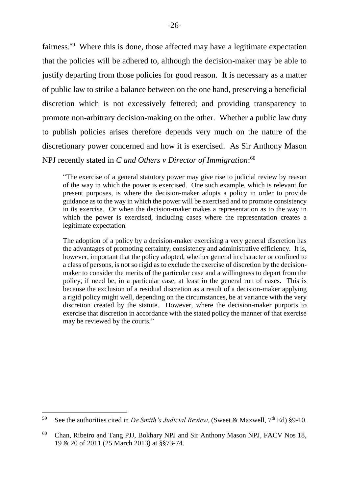fairness.<sup>59</sup> Where this is done, those affected may have a legitimate expectation that the policies will be adhered to, although the decision-maker may be able to justify departing from those policies for good reason. It is necessary as a matter of public law to strike a balance between on the one hand, preserving a beneficial discretion which is not excessively fettered; and providing transparency to promote non-arbitrary decision-making on the other. Whether a public law duty to publish policies arises therefore depends very much on the nature of the discretionary power concerned and how it is exercised. As Sir Anthony Mason NPJ recently stated in *C and Others v Director of Immigration*: 60

"The exercise of a general statutory power may give rise to judicial review by reason of the way in which the power is exercised. One such example, which is relevant for present purposes, is where the decision-maker adopts a policy in order to provide guidance as to the way in which the power will be exercised and to promote consistency in its exercise. Or when the decision-maker makes a representation as to the way in which the power is exercised, including cases where the representation creates a legitimate expectation.

The adoption of a policy by a decision-maker exercising a very general discretion has the advantages of promoting certainty, consistency and administrative efficiency. It is, however, important that the policy adopted, whether general in character or confined to a class of persons, is not so rigid as to exclude the exercise of discretion by the decisionmaker to consider the merits of the particular case and a willingness to depart from the policy, if need be, in a particular case, at least in the general run of cases. This is because the exclusion of a residual discretion as a result of a decision-maker applying a rigid policy might well, depending on the circumstances, be at variance with the very discretion created by the statute. However, where the decision-maker purports to exercise that discretion in accordance with the stated policy the manner of that exercise may be reviewed by the courts."

<sup>&</sup>lt;sup>59</sup> See the authorities cited in *De Smith's Judicial Review*, (Sweet & Maxwell,  $7<sup>th</sup>$  Ed) §9-10.

<sup>&</sup>lt;sup>60</sup> Chan, Ribeiro and Tang PJJ, Bokhary NPJ and Sir Anthony Mason NPJ, FACV Nos 18, 19 & 20 of 2011 (25 March 2013) at §§73-74.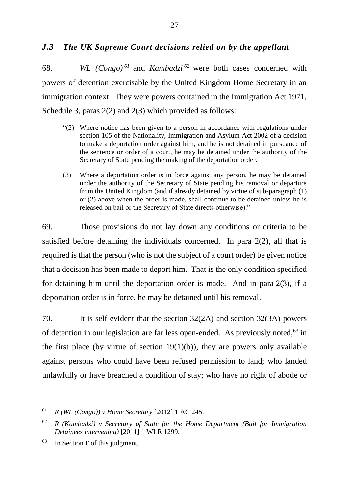## *J.3 The UK Supreme Court decisions relied on by the appellant*

68. *WL (Congo) <sup>61</sup>* and *Kambadzi <sup>62</sup>* were both cases concerned with powers of detention exercisable by the United Kingdom Home Secretary in an immigration context. They were powers contained in the Immigration Act 1971, Schedule 3, paras  $2(2)$  and  $2(3)$  which provided as follows:

- "(2) Where notice has been given to a person in accordance with regulations under section 105 of the Nationality, Immigration and Asylum Act 2002 of a decision to make a deportation order against him, and he is not detained in pursuance of the sentence or order of a court, he may be detained under the authority of the Secretary of State pending the making of the deportation order.
- (3) Where a deportation order is in force against any person, he may be detained under the authority of the Secretary of State pending his removal or departure from the United Kingdom (and if already detained by virtue of sub-paragraph (1) or (2) above when the order is made, shall continue to be detained unless he is released on bail or the Secretary of State directs otherwise)."

69. Those provisions do not lay down any conditions or criteria to be satisfied before detaining the individuals concerned. In para 2(2), all that is required is that the person (who is not the subject of a court order) be given notice that a decision has been made to deport him. That is the only condition specified for detaining him until the deportation order is made. And in para 2(3), if a deportation order is in force, he may be detained until his removal.

70. It is self-evident that the section 32(2A) and section 32(3A) powers of detention in our legislation are far less open-ended. As previously noted, $63$  in the first place (by virtue of section  $19(1)(b)$ ), they are powers only available against persons who could have been refused permission to land; who landed unlawfully or have breached a condition of stay; who have no right of abode or

<sup>61</sup> *R (WL (Congo)) v Home Secretary* [2012] 1 AC 245.

<sup>62</sup> *R (Kambadzi) v Secretary of State for the Home Department (Bail for Immigration Detainees intervening)* [2011] 1 WLR 1299.

<sup>63</sup> In Section F of this judgment.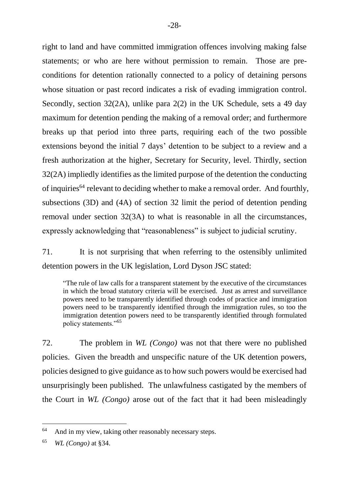right to land and have committed immigration offences involving making false statements; or who are here without permission to remain. Those are preconditions for detention rationally connected to a policy of detaining persons whose situation or past record indicates a risk of evading immigration control. Secondly, section 32(2A), unlike para 2(2) in the UK Schedule, sets a 49 day maximum for detention pending the making of a removal order; and furthermore breaks up that period into three parts, requiring each of the two possible extensions beyond the initial 7 days' detention to be subject to a review and a fresh authorization at the higher, Secretary for Security, level. Thirdly, section 32(2A) impliedly identifies as the limited purpose of the detention the conducting of inquiries<sup>64</sup> relevant to deciding whether to make a removal order. And fourthly, subsections (3D) and (4A) of section 32 limit the period of detention pending removal under section 32(3A) to what is reasonable in all the circumstances, expressly acknowledging that "reasonableness" is subject to judicial scrutiny.

71. It is not surprising that when referring to the ostensibly unlimited detention powers in the UK legislation, Lord Dyson JSC stated:

"The rule of law calls for a transparent statement by the executive of the circumstances in which the broad statutory criteria will be exercised. Just as arrest and surveillance powers need to be transparently identified through codes of practice and immigration powers need to be transparently identified through the immigration rules, so too the immigration detention powers need to be transparently identified through formulated policy statements."<sup>65</sup>

72. The problem in *WL (Congo)* was not that there were no published policies. Given the breadth and unspecific nature of the UK detention powers, policies designed to give guidance as to how such powers would be exercised had unsurprisingly been published. The unlawfulness castigated by the members of the Court in *WL (Congo)* arose out of the fact that it had been misleadingly

<sup>&</sup>lt;sup>64</sup> And in my view, taking other reasonably necessary steps.

<sup>65</sup> *WL (Congo)* at §34.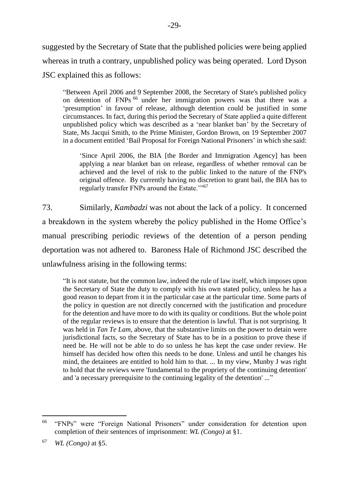suggested by the Secretary of State that the published policies were being applied whereas in truth a contrary, unpublished policy was being operated. Lord Dyson JSC explained this as follows:

"Between April 2006 and 9 September 2008, the Secretary of State's published policy on detention of FNPs <sup>66</sup> under her immigration powers was that there was a 'presumption' in favour of release, although detention could be justified in some circumstances. In fact, during this period the Secretary of State applied a quite different unpublished policy which was described as a 'near blanket ban' by the Secretary of State, Ms Jacqui Smith, to the Prime Minister, Gordon Brown, on 19 September 2007 in a document entitled 'Bail Proposal for Foreign National Prisoners' in which she said:

'Since April 2006, the BIA [the Border and Immigration Agency] has been applying a near blanket ban on release, regardless of whether removal can be achieved and the level of risk to the public linked to the nature of the FNP's original offence. By currently having no discretion to grant bail, the BIA has to regularly transfer FNPs around the Estate."<sup>67</sup>

73. Similarly, *Kambadzi* was not about the lack of a policy. It concerned a breakdown in the system whereby the policy published in the Home Office's manual prescribing periodic reviews of the detention of a person pending deportation was not adhered to. Baroness Hale of Richmond JSC described the unlawfulness arising in the following terms:

"It is not statute, but the common law, indeed the rule of law itself, which imposes upon the Secretary of State the duty to comply with his own stated policy, unless he has a good reason to depart from it in the particular case at the particular time. Some parts of the policy in question are not directly concerned with the justification and procedure for the detention and have more to do with its quality or conditions. But the whole point of the regular reviews is to ensure that the detention is lawful. That is not surprising. It was held in *Tan Te Lam*, above, that the substantive limits on the power to detain were jurisdictional facts, so the Secretary of State has to be in a position to prove these if need be. He will not be able to do so unless he has kept the case under review. He himself has decided how often this needs to be done. Unless and until he changes his mind, the detainees are entitled to hold him to that. ... In my view, Munby J was right to hold that the reviews were 'fundamental to the propriety of the continuing detention' and 'a necessary prerequisite to the continuing legality of the detention' ..."

<sup>66</sup> "FNPs" were "Foreign National Prisoners" under consideration for detention upon completion of their sentences of imprisonment: *WL (Congo)* at §1.

<sup>67</sup> *WL (Congo)* at §5.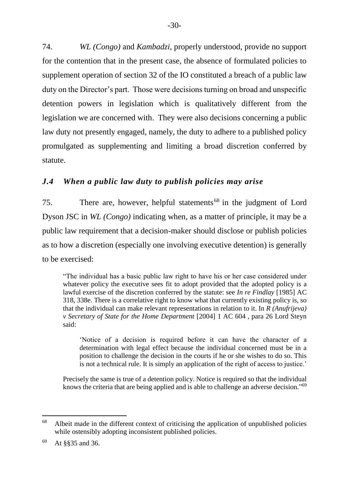74. *WL (Congo)* and *Kambadzi*, properly understood, provide no support for the contention that in the present case, the absence of formulated policies to supplement operation of section 32 of the IO constituted a breach of a public law duty on the Director's part. Those were decisions turning on broad and unspecific detention powers in legislation which is qualitatively different from the legislation we are concerned with. They were also decisions concerning a public law duty not presently engaged, namely, the duty to adhere to a published policy promulgated as supplementing and limiting a broad discretion conferred by statute.

## *J.4 When a public law duty to publish policies may arise*

75. There are, however, helpful statements<sup>68</sup> in the judgment of Lord Dyson JSC in *WL (Congo)* indicating when, as a matter of principle, it may be a public law requirement that a decision-maker should disclose or publish policies as to how a discretion (especially one involving executive detention) is generally to be exercised:

"The individual has a basic public law right to have his or her case considered under whatever policy the executive sees fit to adopt provided that the adopted policy is a lawful exercise of the discretion conferred by the statute: see *In re Findlay* [1985] AC 318, 338e. There is a correlative right to know what that currently existing policy is, so that the individual can make relevant representations in relation to it. In *R (Anufrijeva) v Secretary of State for the Home Department* [2004] 1 AC 604 , para 26 Lord Steyn said:

'Notice of a decision is required before it can have the character of a determination with legal effect because the individual concerned must be in a position to challenge the decision in the courts if he or she wishes to do so. This is not a technical rule. It is simply an application of the right of access to justice.'

Precisely the same is true of a detention policy. Notice is required so that the individual knows the criteria that are being applied and is able to challenge an adverse decision."<sup>69</sup>

 $68$  Albeit made in the different context of criticising the application of unpublished policies while ostensibly adopting inconsistent published policies.

<sup>69</sup> At §§35 and 36.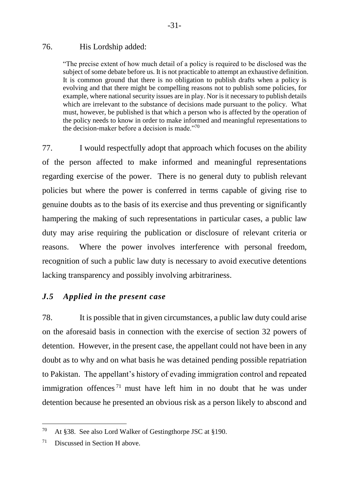#### 76. His Lordship added:

"The precise extent of how much detail of a policy is required to be disclosed was the subject of some debate before us. It is not practicable to attempt an exhaustive definition. It is common ground that there is no obligation to publish drafts when a policy is evolving and that there might be compelling reasons not to publish some policies, for example, where national security issues are in play. Nor is it necessary to publish details which are irrelevant to the substance of decisions made pursuant to the policy. What must, however, be published is that which a person who is affected by the operation of the policy needs to know in order to make informed and meaningful representations to the decision-maker before a decision is made. $170$ 

77. I would respectfully adopt that approach which focuses on the ability of the person affected to make informed and meaningful representations regarding exercise of the power. There is no general duty to publish relevant policies but where the power is conferred in terms capable of giving rise to genuine doubts as to the basis of its exercise and thus preventing or significantly hampering the making of such representations in particular cases, a public law duty may arise requiring the publication or disclosure of relevant criteria or reasons. Where the power involves interference with personal freedom, recognition of such a public law duty is necessary to avoid executive detentions lacking transparency and possibly involving arbitrariness.

## *J.5 Applied in the present case*

78. It is possible that in given circumstances, a public law duty could arise on the aforesaid basis in connection with the exercise of section 32 powers of detention. However, in the present case, the appellant could not have been in any doubt as to why and on what basis he was detained pending possible repatriation to Pakistan. The appellant's history of evading immigration control and repeated immigration offences<sup> $71$ </sup> must have left him in no doubt that he was under detention because he presented an obvious risk as a person likely to abscond and

<sup>70</sup> At §38. See also Lord Walker of Gestingthorpe JSC at §190.

 $71$  Discussed in Section H above.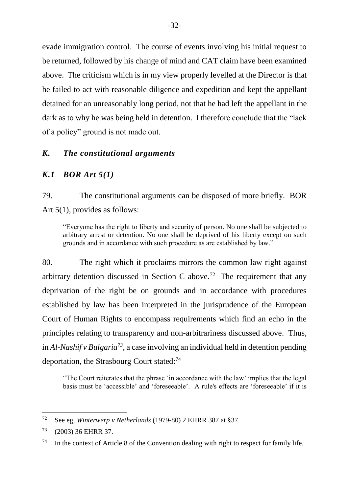evade immigration control. The course of events involving his initial request to be returned, followed by his change of mind and CAT claim have been examined above. The criticism which is in my view properly levelled at the Director is that he failed to act with reasonable diligence and expedition and kept the appellant detained for an unreasonably long period, not that he had left the appellant in the dark as to why he was being held in detention. I therefore conclude that the "lack of a policy" ground is not made out.

#### *K. The constitutional arguments*

#### *K.1 BOR Art 5(1)*

79. The constitutional arguments can be disposed of more briefly. BOR Art 5(1), provides as follows:

"Everyone has the right to liberty and security of person. No one shall be subjected to arbitrary arrest or detention. No one shall be deprived of his liberty except on such grounds and in accordance with such procedure as are established by law."

80. The right which it proclaims mirrors the common law right against arbitrary detention discussed in Section C above.<sup>72</sup> The requirement that any deprivation of the right be on grounds and in accordance with procedures established by law has been interpreted in the jurisprudence of the European Court of Human Rights to encompass requirements which find an echo in the principles relating to transparency and non-arbitrariness discussed above. Thus, in *Al-Nashif v Bulgaria<sup>73</sup>*, a case involving an individual held in detention pending deportation, the Strasbourg Court stated:<sup>74</sup>

"The Court reiterates that the phrase 'in accordance with the law' implies that the legal basis must be 'accessible' and 'foreseeable'. A rule's effects are 'foreseeable' if it is

<sup>72</sup> See eg, *Winterwerp v Netherlands* (1979-80) 2 EHRR 387 at §37.

<sup>73</sup> (2003) 36 EHRR 37.

<sup>&</sup>lt;sup>74</sup> In the context of Article 8 of the Convention dealing with right to respect for family life.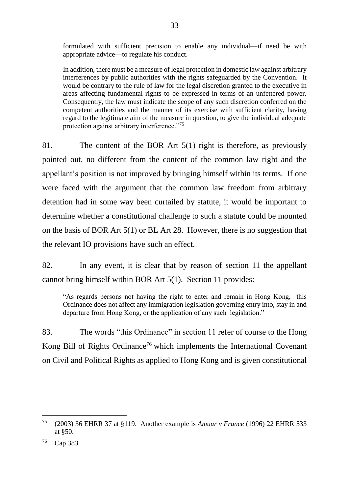formulated with sufficient precision to enable any individual—if need be with appropriate advice—to regulate his conduct.

In addition, there must be a measure of legal protection in domestic law against arbitrary interferences by public authorities with the rights safeguarded by the Convention. It would be contrary to the rule of law for the legal discretion granted to the executive in areas affecting fundamental rights to be expressed in terms of an unfettered power. Consequently, the law must indicate the scope of any such discretion conferred on the competent authorities and the manner of its exercise with sufficient clarity, having regard to the legitimate aim of the measure in question, to give the individual adequate protection against arbitrary interference."<sup>75</sup>

81. The content of the BOR Art 5(1) right is therefore, as previously pointed out, no different from the content of the common law right and the appellant's position is not improved by bringing himself within its terms. If one were faced with the argument that the common law freedom from arbitrary detention had in some way been curtailed by statute, it would be important to determine whether a constitutional challenge to such a statute could be mounted on the basis of BOR Art 5(1) or BL Art 28. However, there is no suggestion that the relevant IO provisions have such an effect.

82. In any event, it is clear that by reason of section 11 the appellant cannot bring himself within BOR Art 5(1). Section 11 provides:

"As regards persons not having the right to enter and remain in Hong Kong, this Ordinance does not affect any immigration legislation governing entry into, stay in and departure from Hong Kong, or the application of any such legislation."

83. The words "this Ordinance" in section 11 refer of course to the Hong Kong Bill of Rights Ordinance<sup>76</sup> which implements the International Covenant on Civil and Political Rights as applied to Hong Kong and is given constitutional

<sup>75</sup> (2003) 36 EHRR 37 at §119. Another example is *Amuur v France* (1996) 22 EHRR 533 at §50.

<sup>76</sup> Cap 383.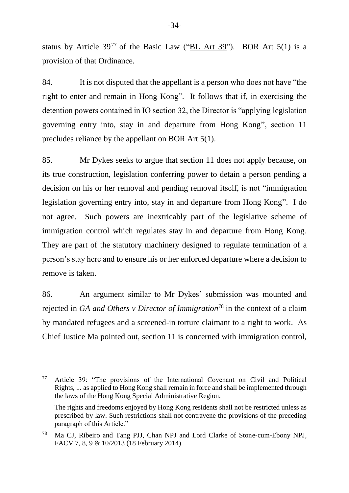status by Article  $39^{77}$  of the Basic Law ("BL Art 39"). BOR Art 5(1) is a provision of that Ordinance.

84. It is not disputed that the appellant is a person who does not have "the right to enter and remain in Hong Kong". It follows that if, in exercising the detention powers contained in IO section 32, the Director is "applying legislation governing entry into, stay in and departure from Hong Kong", section 11 precludes reliance by the appellant on BOR Art 5(1).

85. Mr Dykes seeks to argue that section 11 does not apply because, on its true construction, legislation conferring power to detain a person pending a decision on his or her removal and pending removal itself, is not "immigration legislation governing entry into, stay in and departure from Hong Kong". I do not agree. Such powers are inextricably part of the legislative scheme of immigration control which regulates stay in and departure from Hong Kong. They are part of the statutory machinery designed to regulate termination of a person's stay here and to ensure his or her enforced departure where a decision to remove is taken.

86. An argument similar to Mr Dykes' submission was mounted and rejected in *GA and Others v Director of Immigration*<sup>78</sup> in the context of a claim by mandated refugees and a screened-in torture claimant to a right to work. As Chief Justice Ma pointed out, section 11 is concerned with immigration control,

<sup>77</sup> Article 39: "The provisions of the International Covenant on Civil and Political Rights, ... as applied to Hong Kong shall remain in force and shall be implemented through the laws of the Hong Kong Special Administrative Region.

The rights and freedoms enjoyed by Hong Kong residents shall not be restricted unless as prescribed by law. Such restrictions shall not contravene the provisions of the preceding paragraph of this Article."

<sup>78</sup> Ma CJ, Ribeiro and Tang PJJ, Chan NPJ and Lord Clarke of Stone-cum-Ebony NPJ, FACV 7, 8, 9 & 10/2013 (18 February 2014).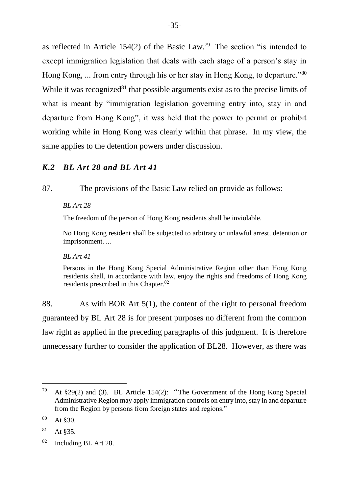as reflected in Article  $154(2)$  of the Basic Law.<sup>79</sup> The section "is intended to except immigration legislation that deals with each stage of a person's stay in Hong Kong, ... from entry through his or her stay in Hong Kong, to departure."<sup>80</sup> While it was recognized<sup>81</sup> that possible arguments exist as to the precise limits of what is meant by "immigration legislation governing entry into, stay in and departure from Hong Kong", it was held that the power to permit or prohibit working while in Hong Kong was clearly within that phrase. In my view, the same applies to the detention powers under discussion.

## *K.2 BL Art 28 and BL Art 41*

87. The provisions of the Basic Law relied on provide as follows:

*BL Art 28*

The freedom of the person of Hong Kong residents shall be inviolable.

No Hong Kong resident shall be subjected to arbitrary or unlawful arrest, detention or imprisonment. ...

#### *BL Art 41*

Persons in the Hong Kong Special Administrative Region other than Hong Kong residents shall, in accordance with law, enjoy the rights and freedoms of Hong Kong residents prescribed in this Chapter.<sup>82</sup>

88. As with BOR Art 5(1), the content of the right to personal freedom guaranteed by BL Art 28 is for present purposes no different from the common law right as applied in the preceding paragraphs of this judgment. It is therefore unnecessary further to consider the application of BL28. However, as there was

<sup>&</sup>lt;sup>79</sup> At  $\S 29(2)$  and (3). BL Article 154(2): "The Government of the Hong Kong Special Administrative Region may apply immigration controls on entry into, stay in and departure from the Region by persons from foreign states and regions."

 $80$  At \$30.

 $81$  At §35.

<sup>82</sup> Including BL Art 28.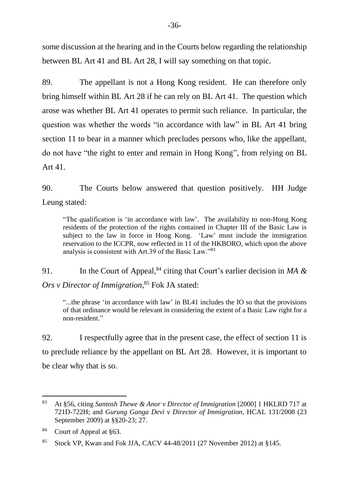some discussion at the hearing and in the Courts below regarding the relationship between BL Art 41 and BL Art 28, I will say something on that topic.

89. The appellant is not a Hong Kong resident. He can therefore only bring himself within BL Art 28 if he can rely on BL Art 41. The question which arose was whether BL Art 41 operates to permit such reliance. In particular, the question was whether the words "in accordance with law" in BL Art 41 bring section 11 to bear in a manner which precludes persons who, like the appellant, do not have "the right to enter and remain in Hong Kong", from relying on BL Art 41.

90. The Courts below answered that question positively. HH Judge Leung stated:

"The qualification is 'in accordance with law'. The availability to non-Hong Kong residents of the protection of the rights contained in Chapter III of the Basic Law is subject to the law in force in Hong Kong. 'Law' must include the immigration reservation to the ICCPR, now reflected in 11 of the HKBORO, which upon the above analysis is consistent with Art.39 of the Basic Law."<sup>83</sup>

91. In the Court of Appeal,<sup>84</sup> citing that Court's earlier decision in *MA & Ors v Director of Immigration*, <sup>85</sup> Fok JA stated:

"...the phrase 'in accordance with law' in BL41 includes the IO so that the provisions of that ordinance would be relevant in considering the extent of a Basic Law right for a non-resident."

92. I respectfully agree that in the present case, the effect of section 11 is to preclude reliance by the appellant on BL Art 28. However, it is important to be clear why that is so.

<sup>83</sup> At §56, citing *Santosh Thewe & Anor v Director of Immigration* [2000] 1 HKLRD 717 at 721D-722H; and *Gurung Ganga Devi v Director of Immigration*, HCAL 131/2008 (23 September 2009) at §§20-23; 27.

<sup>84</sup> Court of Appeal at §63.

<sup>85</sup> Stock VP, Kwan and Fok JJA, CACV 44-48/2011 (27 November 2012) at §145.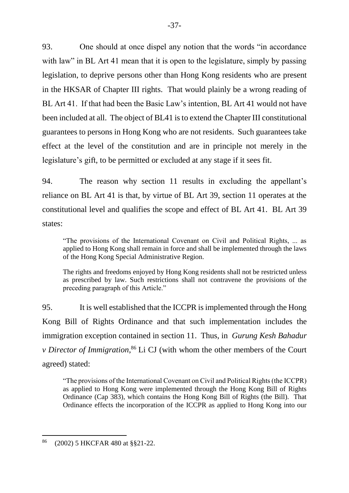93. One should at once dispel any notion that the words "in accordance with law" in BL Art 41 mean that it is open to the legislature, simply by passing legislation, to deprive persons other than Hong Kong residents who are present in the HKSAR of Chapter III rights. That would plainly be a wrong reading of BL Art 41. If that had been the Basic Law's intention, BL Art 41 would not have been included at all. The object of BL41 is to extend the Chapter III constitutional guarantees to persons in Hong Kong who are not residents. Such guarantees take effect at the level of the constitution and are in principle not merely in the legislature's gift, to be permitted or excluded at any stage if it sees fit.

94. The reason why section 11 results in excluding the appellant's reliance on BL Art 41 is that, by virtue of BL Art 39, section 11 operates at the constitutional level and qualifies the scope and effect of BL Art 41. BL Art 39 states:

"The provisions of the International Covenant on Civil and Political Rights, ... as applied to Hong Kong shall remain in force and shall be implemented through the laws of the Hong Kong Special Administrative Region.

The rights and freedoms enjoyed by Hong Kong residents shall not be restricted unless as prescribed by law. Such restrictions shall not contravene the provisions of the preceding paragraph of this Article."

95. It is well established that the ICCPR is implemented through the Hong Kong Bill of Rights Ordinance and that such implementation includes the immigration exception contained in section 11. Thus, in *Gurung Kesh Bahadur v Director of Immigration*, <sup>86</sup> Li CJ (with whom the other members of the Court agreed) stated:

"The provisions of the International Covenant on Civil and Political Rights (the ICCPR) as applied to Hong Kong were implemented through the Hong Kong Bill of Rights Ordinance (Cap 383), which contains the Hong Kong Bill of Rights (the Bill). That Ordinance effects the incorporation of the ICCPR as applied to Hong Kong into our

<sup>86</sup> (2002) 5 HKCFAR 480 at §§21-22.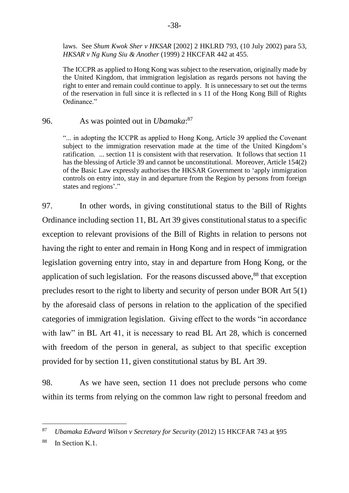laws. See *Shum Kwok Sher v HKSAR* [2002] 2 HKLRD 793, (10 July 2002) para 53, *HKSAR v Ng Kung Siu & Another* (1999) 2 HKCFAR 442 at 455.

The ICCPR as applied to Hong Kong was subject to the reservation, originally made by the United Kingdom, that immigration legislation as regards persons not having the right to enter and remain could continue to apply. It is unnecessary to set out the terms of the reservation in full since it is reflected in s 11 of the Hong Kong Bill of Rights Ordinance."

### 96. As was pointed out in *Ubamaka*: 87

"... in adopting the ICCPR as applied to Hong Kong, Article 39 applied the Covenant subject to the immigration reservation made at the time of the United Kingdom's ratification. ... section 11 is consistent with that reservation. It follows that section 11 has the blessing of Article 39 and cannot be unconstitutional. Moreover, Article 154(2) of the Basic Law expressly authorises the HKSAR Government to 'apply immigration controls on entry into, stay in and departure from the Region by persons from foreign states and regions'."

97. In other words, in giving constitutional status to the Bill of Rights Ordinance including section 11, BL Art 39 gives constitutional status to a specific exception to relevant provisions of the Bill of Rights in relation to persons not having the right to enter and remain in Hong Kong and in respect of immigration legislation governing entry into, stay in and departure from Hong Kong, or the application of such legislation. For the reasons discussed above,<sup>88</sup> that exception precludes resort to the right to liberty and security of person under BOR Art 5(1) by the aforesaid class of persons in relation to the application of the specified categories of immigration legislation. Giving effect to the words "in accordance with law" in BL Art 41, it is necessary to read BL Art 28, which is concerned with freedom of the person in general, as subject to that specific exception provided for by section 11, given constitutional status by BL Art 39.

98. As we have seen, section 11 does not preclude persons who come within its terms from relying on the common law right to personal freedom and

<sup>87</sup> *Ubamaka Edward Wilson v Secretary for Security* (2012) 15 HKCFAR 743 at §95

<sup>&</sup>lt;sup>88</sup> In Section K.1.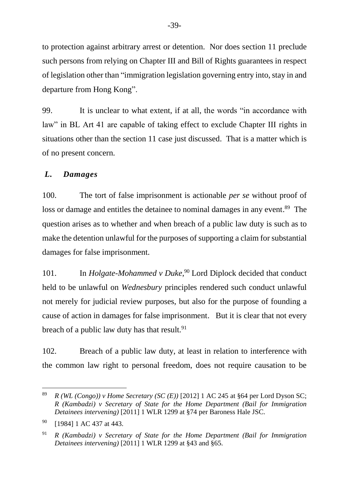to protection against arbitrary arrest or detention. Nor does section 11 preclude such persons from relying on Chapter III and Bill of Rights guarantees in respect of legislation other than "immigration legislation governing entry into, stay in and departure from Hong Kong".

99. It is unclear to what extent, if at all, the words "in accordance with law" in BL Art 41 are capable of taking effect to exclude Chapter III rights in situations other than the section 11 case just discussed. That is a matter which is of no present concern.

## *L. Damages*

100. The tort of false imprisonment is actionable *per se* without proof of loss or damage and entitles the detainee to nominal damages in any event.<sup>89</sup> The question arises as to whether and when breach of a public law duty is such as to make the detention unlawful for the purposes of supporting a claim for substantial damages for false imprisonment.

101. In *Holgate-Mohammed v Duke*, <sup>90</sup> Lord Diplock decided that conduct held to be unlawful on *Wednesbury* principles rendered such conduct unlawful not merely for judicial review purposes, but also for the purpose of founding a cause of action in damages for false imprisonment. But it is clear that not every breach of a public law duty has that result.  $91$ 

102. Breach of a public law duty, at least in relation to interference with the common law right to personal freedom, does not require causation to be

<sup>&</sup>lt;sup>89</sup> *R* (WL (Congo)) v Home Secretary (SC (E)) [2012] 1 AC 245 at §64 per Lord Dyson SC; *R (Kambadzi) v Secretary of State for the Home Department (Bail for Immigration Detainees intervening)* [2011] 1 WLR 1299 at §74 per Baroness Hale JSC.

<sup>&</sup>lt;sup>90</sup> [1984] 1 AC 437 at 443.

<sup>91</sup> *R (Kambadzi) v Secretary of State for the Home Department (Bail for Immigration Detainees intervening)* [2011] 1 WLR 1299 at §43 and §65.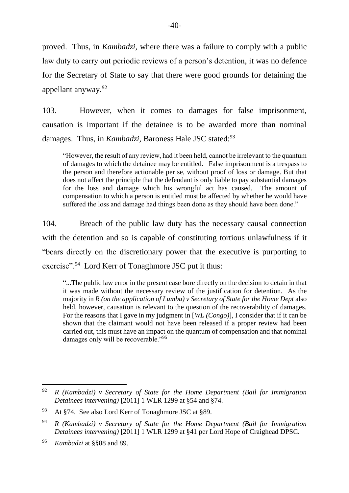proved. Thus, in *Kambadzi*, where there was a failure to comply with a public law duty to carry out periodic reviews of a person's detention, it was no defence for the Secretary of State to say that there were good grounds for detaining the appellant anyway.<sup>92</sup>

103. However, when it comes to damages for false imprisonment, causation is important if the detainee is to be awarded more than nominal damages. Thus, in *Kambadzi*, Baroness Hale JSC stated:<sup>93</sup>

"However, the result of any review, had it been held, cannot be irrelevant to the quantum of damages to which the detainee may be entitled. False imprisonment is a trespass to the person and therefore actionable per se, without proof of loss or damage. But that does not affect the principle that the defendant is only liable to pay substantial damages for the loss and damage which his wrongful act has caused. The amount of compensation to which a person is entitled must be affected by whether he would have suffered the loss and damage had things been done as they should have been done."

104. Breach of the public law duty has the necessary causal connection with the detention and so is capable of constituting tortious unlawfulness if it "bears directly on the discretionary power that the executive is purporting to exercise".<sup>94</sup> Lord Kerr of Tonaghmore JSC put it thus:

"...The public law error in the present case bore directly on the decision to detain in that it was made without the necessary review of the justification for detention. As the majority in *R (on the application of Lumba) v Secretary of State for the Home Dept* also held, however, causation is relevant to the question of the recoverability of damages. For the reasons that I gave in my judgment in [*WL (Congo)*], I consider that if it can be shown that the claimant would not have been released if a proper review had been carried out, this must have an impact on the quantum of compensation and that nominal damages only will be recoverable."<sup>95</sup>

<sup>92</sup> *R (Kambadzi) v Secretary of State for the Home Department (Bail for Immigration Detainees intervening)* [2011] 1 WLR 1299 at §54 and §74.

<sup>93</sup> At §74. See also Lord Kerr of Tonaghmore JSC at §89.

<sup>94</sup> *R (Kambadzi) v Secretary of State for the Home Department (Bail for Immigration Detainees intervening)* [2011] 1 WLR 1299 at §41 per Lord Hope of Craighead DPSC.

<sup>95</sup> *Kambadzi* at §§88 and 89.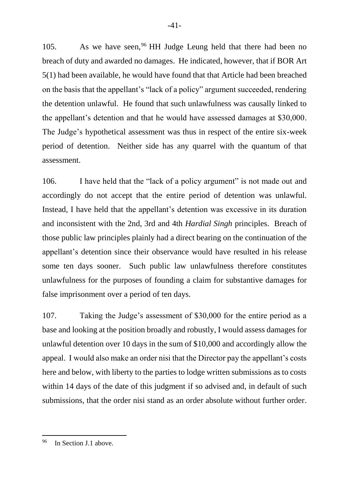105. As we have seen,<sup>96</sup> HH Judge Leung held that there had been no breach of duty and awarded no damages. He indicated, however, that if BOR Art 5(1) had been available, he would have found that that Article had been breached on the basis that the appellant's "lack of a policy" argument succeeded, rendering the detention unlawful. He found that such unlawfulness was causally linked to the appellant's detention and that he would have assessed damages at \$30,000. The Judge's hypothetical assessment was thus in respect of the entire six-week period of detention. Neither side has any quarrel with the quantum of that assessment.

106. I have held that the "lack of a policy argument" is not made out and accordingly do not accept that the entire period of detention was unlawful. Instead, I have held that the appellant's detention was excessive in its duration and inconsistent with the 2nd, 3rd and 4th *Hardial Singh* principles. Breach of those public law principles plainly had a direct bearing on the continuation of the appellant's detention since their observance would have resulted in his release some ten days sooner. Such public law unlawfulness therefore constitutes unlawfulness for the purposes of founding a claim for substantive damages for false imprisonment over a period of ten days.

107. Taking the Judge's assessment of \$30,000 for the entire period as a base and looking at the position broadly and robustly, I would assess damages for unlawful detention over 10 days in the sum of \$10,000 and accordingly allow the appeal. I would also make an order nisi that the Director pay the appellant's costs here and below, with liberty to the parties to lodge written submissions as to costs within 14 days of the date of this judgment if so advised and, in default of such submissions, that the order nisi stand as an order absolute without further order.

<sup>96</sup> In Section J.1 above.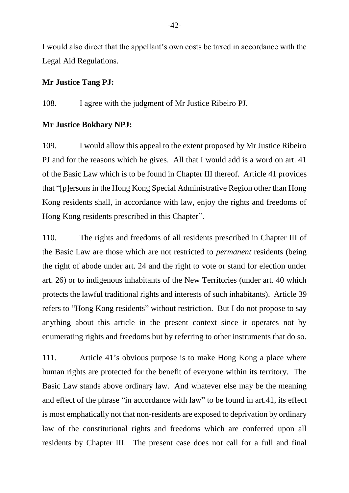I would also direct that the appellant's own costs be taxed in accordance with the Legal Aid Regulations.

#### **Mr Justice Tang PJ:**

108. I agree with the judgment of Mr Justice Ribeiro PJ.

#### **Mr Justice Bokhary NPJ:**

109. I would allow this appeal to the extent proposed by Mr Justice Ribeiro PJ and for the reasons which he gives. All that I would add is a word on art. 41 of the Basic Law which is to be found in Chapter III thereof. Article 41 provides that "[p]ersons in the Hong Kong Special Administrative Region other than Hong Kong residents shall, in accordance with law, enjoy the rights and freedoms of Hong Kong residents prescribed in this Chapter".

110. The rights and freedoms of all residents prescribed in Chapter III of the Basic Law are those which are not restricted to *permanent* residents (being the right of abode under art. 24 and the right to vote or stand for election under art. 26) or to indigenous inhabitants of the New Territories (under art. 40 which protects the lawful traditional rights and interests of such inhabitants). Article 39 refers to "Hong Kong residents" without restriction. But I do not propose to say anything about this article in the present context since it operates not by enumerating rights and freedoms but by referring to other instruments that do so.

111. Article 41's obvious purpose is to make Hong Kong a place where human rights are protected for the benefit of everyone within its territory. The Basic Law stands above ordinary law. And whatever else may be the meaning and effect of the phrase "in accordance with law" to be found in art.41, its effect is most emphatically not that non-residents are exposed to deprivation by ordinary law of the constitutional rights and freedoms which are conferred upon all residents by Chapter III. The present case does not call for a full and final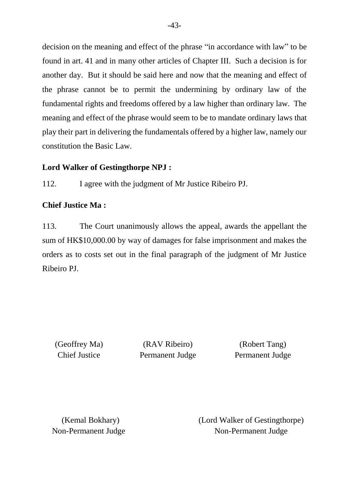decision on the meaning and effect of the phrase "in accordance with law" to be found in art. 41 and in many other articles of Chapter III. Such a decision is for another day. But it should be said here and now that the meaning and effect of the phrase cannot be to permit the undermining by ordinary law of the fundamental rights and freedoms offered by a law higher than ordinary law. The meaning and effect of the phrase would seem to be to mandate ordinary laws that play their part in delivering the fundamentals offered by a higher law, namely our constitution the Basic Law.

## **Lord Walker of Gestingthorpe NPJ :**

112. I agree with the judgment of Mr Justice Ribeiro PJ.

## **Chief Justice Ma :**

113. The Court unanimously allows the appeal, awards the appellant the sum of HK\$10,000.00 by way of damages for false imprisonment and makes the orders as to costs set out in the final paragraph of the judgment of Mr Justice Ribeiro PJ.

(Geoffrey Ma) (RAV Ribeiro) (Robert Tang) Chief Justice Permanent Judge Permanent Judge

(Kemal Bokhary) (Lord Walker of Gestingthorpe) Non-Permanent Judge Non-Permanent Judge